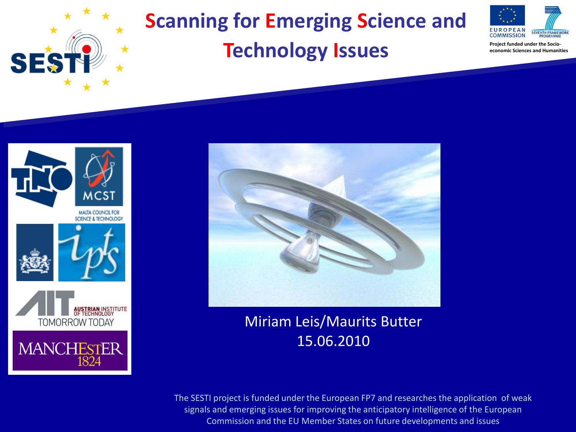## **Scanning for Emerging Science and Technology Issues**



**Project funded under the Socioeconomic Sciences and Humanities**



**SE** 

MALTA COUNCIL FOR SCIENCE & TECHNOLOGY







Miriam Leis/Maurits Butter 15.06.2010

The SESTI project is funded under the European FP7 and researches the application of weak signals and emerging issues for improving the anticipatory intelligence of the European Commission and the EU Member States on future developments and issues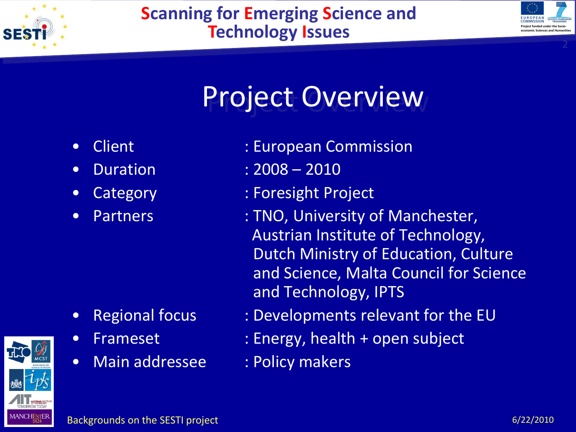

### **Scanning for Emerging Science and Technology Issues**



# Project Overview

- 
- 
- 
- 

- 
- 
- Main addressee : Policy makers
- Client : European Commission
- Duration : 2008 2010
- Category : Foresight Project
- Partners : TNO, University of Manchester, Austrian Institute of Technology, Dutch Ministry of Education, Culture and Science, Malta Council for Science and Technology, IPTS
- Regional focus : Developments relevant for the EU
- Frameset : Energy, health + open subject
	-

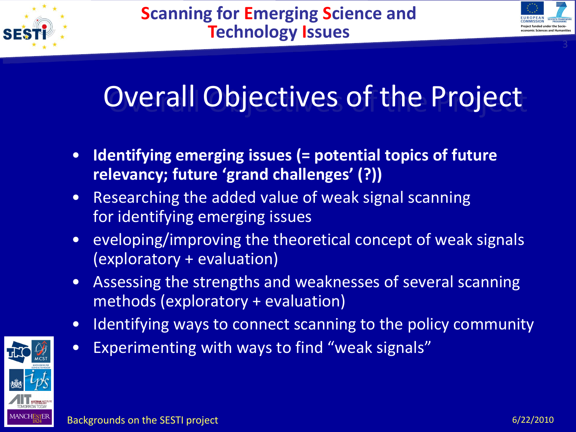



# Overall Objectives of the Project

- **Identifying emerging issues (= potential topics of future relevancy; future 'grand challenges' (?))**
- Researching the added value of weak signal scanning for identifying emerging issues
- eveloping/improving the theoretical concept of weak signals (exploratory + evaluation)
- Assessing the strengths and weaknesses of several scanning methods (exploratory + evaluation)
- Identifying ways to connect scanning to the policy community
- Experimenting with ways to find "weak signals"

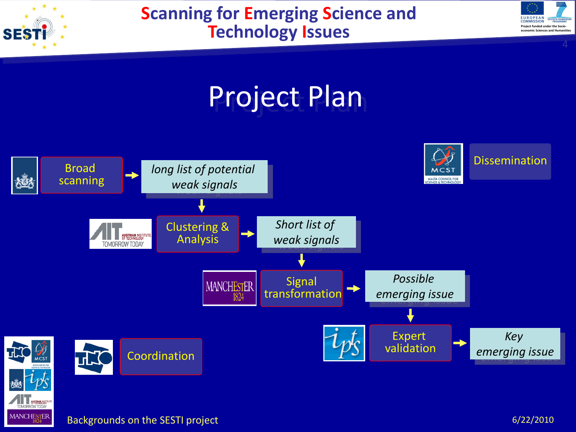

OMORROW TODAY MANCHESTER

### **Scanning for Emerging Science and Technology Issues**





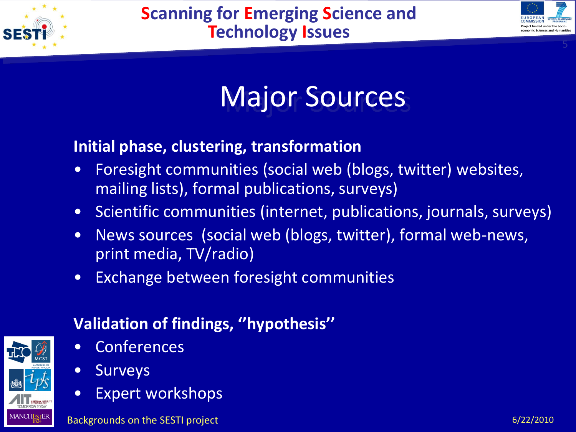



## Major Sources

### **Initial phase, clustering, transformation**

- Foresight communities (social web (blogs, twitter) websites, mailing lists), formal publications, surveys)
- Scientific communities (internet, publications, journals, surveys)
- News sources (social web (blogs, twitter), formal web-news, print media, TV/radio)
- Exchange between foresight communities

### **Validation of findings, ''hypothesis''**

- **Conferences**
- Surveys
- Expert workshops

Backgrounds on the SESTI project and the control of the control of the control of the control of the 6/22/2010

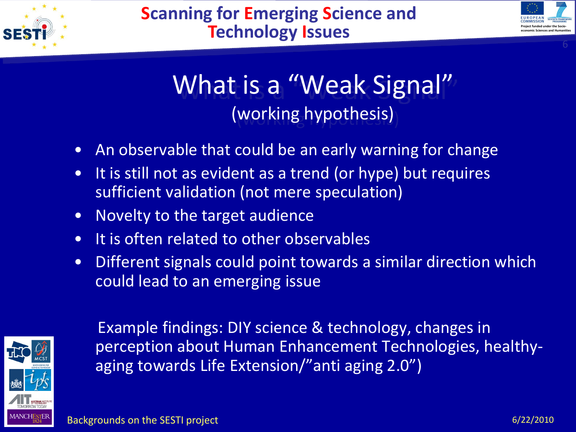



6

## What is a "Weak Signal" (working hypothesis)

- An observable that could be an early warning for change
- It is still not as evident as a trend (or hype) but requires sufficient validation (not mere speculation)
- Novelty to the target audience
- It is often related to other observables
- Different signals could point towards a similar direction which could lead to an emerging issue



Example findings: DIY science & technology, changes in perception about Human Enhancement Technologies, healthyaging towards Life Extension/"anti aging 2.0")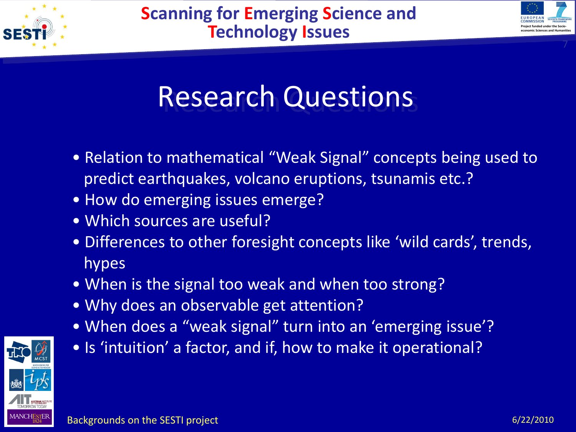



# Research Questions

- Relation to mathematical "Weak Signal" concepts being used to predict earthquakes, volcano eruptions, tsunamis etc.?
- How do emerging issues emerge?
- Which sources are useful?
- Differences to other foresight concepts like 'wild cards', trends, hypes
- When is the signal too weak and when too strong?
- Why does an observable get attention?
- When does a "weak signal" turn into an 'emerging issue'?
- Is 'intuition' a factor, and if, how to make it operational?